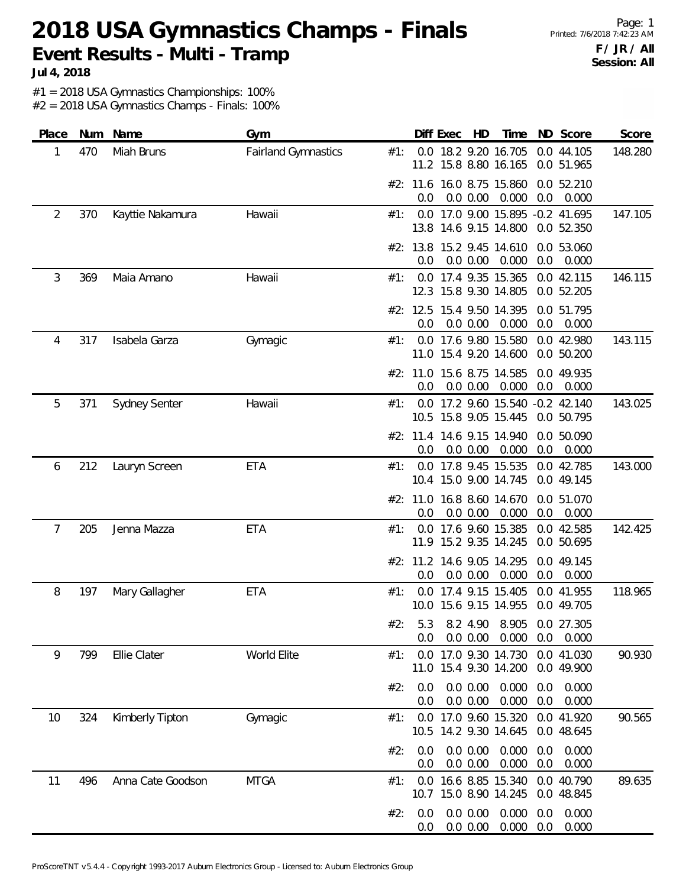**Jul 4, 2018**

#1 = 2018 USA Gymnastics Championships: 100%

| Place | Num | Name                 | Gym                        |     |                | Diff Exec | HD                      | Time                                                                 |            | ND Score                 | Score   |
|-------|-----|----------------------|----------------------------|-----|----------------|-----------|-------------------------|----------------------------------------------------------------------|------------|--------------------------|---------|
| 1     | 470 | Miah Bruns           | <b>Fairland Gymnastics</b> | #1: |                |           |                         | 0.0 18.2 9.20 16.705<br>11.2 15.8 8.80 16.165                        |            | 0.0 44.105<br>0.0 51.965 | 148.280 |
|       |     |                      |                            |     | 0.0            |           | 0.0 0.00                | #2: 11.6 16.0 8.75 15.860<br>0.000                                   | 0.0        | 0.0 52.210<br>0.000      |         |
| 2     | 370 | Kayttie Nakamura     | Hawaii                     | #1: |                |           |                         | 0.0 17.0 9.00 15.895 -0.2 41.695<br>13.8 14.6 9.15 14.800 0.0 52.350 |            |                          | 147.105 |
|       |     |                      |                            |     | 0.0            |           | 0.0 0.00                | #2: 13.8 15.2 9.45 14.610<br>0.000                                   | 0.0        | 0.0 53.060<br>0.000      |         |
| 3     | 369 | Maia Amano           | Hawaii                     | #1: |                |           |                         | 0.0 17.4 9.35 15.365 0.0 42.115<br>12.3 15.8 9.30 14.805             |            | 0.0 52.205               | 146.115 |
|       |     |                      |                            |     | 0.0            |           | 0.0 0.00                | #2: 12.5 15.4 9.50 14.395<br>0.000                                   | 0.0        | 0.0 51.795<br>0.000      |         |
| 4     | 317 | Isabela Garza        | Gymagic                    | #1: |                |           |                         | 0.0 17.6 9.80 15.580<br>11.0 15.4 9.20 14.600                        |            | 0.0 42.980<br>0.0 50.200 | 143.115 |
|       |     |                      |                            |     | 0.0            |           | 0.0 0.00                | #2: 11.0 15.6 8.75 14.585<br>0.000                                   | 0.0        | 0.0 49.935<br>0.000      |         |
| 5     | 371 | <b>Sydney Senter</b> | Hawaii                     | #1: |                |           |                         | 0.0 17.2 9.60 15.540 -0.2 42.140<br>10.5 15.8 9.05 15.445            |            | 0.0 50.795               | 143.025 |
|       |     |                      |                            |     | 0.0            |           | 0.0 0.00                | #2: 11.4 14.6 9.15 14.940<br>0.000                                   | 0.0        | 0.0 50.090<br>0.000      |         |
| 6     | 212 | Lauryn Screen        | <b>ETA</b>                 | #1: |                |           |                         | 0.0 17.8 9.45 15.535<br>10.4 15.0 9.00 14.745                        |            | 0.0 42.785<br>0.0 49.145 | 143.000 |
|       |     |                      |                            |     | 0.0            |           | 0.0 0.00                | #2: 11.0 16.8 8.60 14.670<br>0.000                                   | 0.0        | 0.0 51.070<br>0.000      |         |
| 7     | 205 | Jenna Mazza          | <b>ETA</b>                 | #1: |                |           |                         | 0.0 17.6 9.60 15.385<br>11.9 15.2 9.35 14.245                        |            | 0.0 42.585<br>0.0 50.695 | 142.425 |
|       |     |                      |                            |     | 0.0            |           | 0.0 0.00                | #2: 11.2 14.6 9.05 14.295<br>0.000                                   | 0.0        | 0.0 49.145<br>0.000      |         |
| 8     | 197 | Mary Gallagher       | ETA                        | #1: |                |           |                         | 0.0 17.4 9.15 15.405<br>10.0 15.6 9.15 14.955                        |            | 0.0 41.955<br>0.0 49.705 | 118.965 |
|       |     |                      |                            | #2: |                |           |                         | 5.3 8.2 4.90 8.905 0.0 27.305<br>0.0 0.0 0.00 0.000 0.0 0.000        |            |                          |         |
| 9     | 799 | Ellie Clater         | World Elite                | #1: |                |           |                         | 0.0 17.0 9.30 14.730 0.0 41.030<br>11.0 15.4 9.30 14.200 0.0 49.900  |            |                          | 90.930  |
|       |     |                      |                            | #2: | 0.0<br>0.0     |           | $0.0\,0.00$<br>0.0 0.00 | 0.000<br>0.000                                                       | 0.0<br>0.0 | 0.000<br>0.000           |         |
| 10    | 324 | Kimberly Tipton      | Gymagic                    | #1∶ |                |           |                         | 0.0 17.0 9.60 15.320<br>10.5 14.2 9.30 14.645                        |            | 0.0 41.920<br>0.0 48.645 | 90.565  |
|       |     |                      |                            | #2: | 0.0<br>0.0     |           | 0.0 0.00<br>0.0 0.00    | 0.000<br>0.000                                                       | 0.0<br>0.0 | 0.000<br>0.000           |         |
| 11    | 496 | Anna Cate Goodson    | <b>MTGA</b>                | #1: |                |           |                         | 0.0 16.6 8.85 15.340 0.0 40.790<br>10.7 15.0 8.90 14.245 0.0 48.845  |            |                          | 89.635  |
|       |     |                      |                            | #2: | 0.0<br>$0.0\,$ |           | 0.0 0.00<br>0.0 0.00    | 0.000<br>0.000                                                       | 0.0<br>0.0 | 0.000<br>0.000           |         |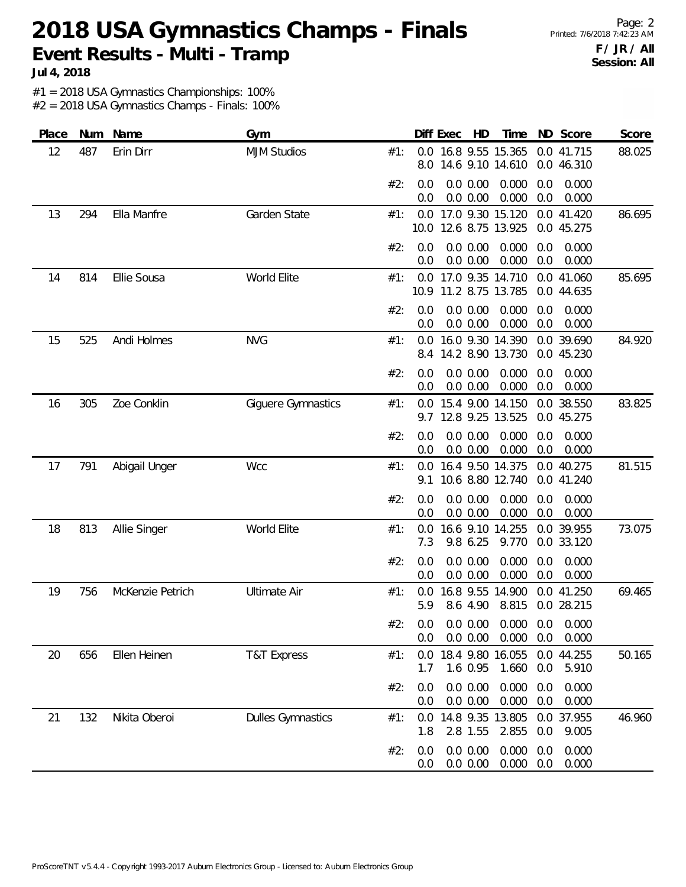**Jul 4, 2018**

#1 = 2018 USA Gymnastics Championships: 100%

| Place |     | Num Name         | Gym                      |     | Diff Exec   | – HD                                         | Time           |            | ND Score                 | Score  |
|-------|-----|------------------|--------------------------|-----|-------------|----------------------------------------------|----------------|------------|--------------------------|--------|
| 12    | 487 | Erin Dirr        | <b>MJM Studios</b>       | #1: | 8.0         | 0.0 16.8 9.55 15.365<br>14.6 9.10 14.610     |                |            | 0.0 41.715<br>0.0 46.310 | 88.025 |
|       |     |                  |                          | #2: | 0.0<br>0.0  | 0.0 0.00<br>0.0 0.00                         | 0.000<br>0.000 | 0.0<br>0.0 | 0.000<br>0.000           |        |
| 13    | 294 | Ella Manfre      | Garden State             | #1: | 0.0<br>10.0 | 17.0 9.30 15.120<br>12.6 8.75 13.925         |                |            | 0.0 41.420<br>0.0 45.275 | 86.695 |
|       |     |                  |                          | #2: | 0.0<br>0.0  | 0.0 0.00<br>0.0 0.00                         | 0.000<br>0.000 | 0.0<br>0.0 | 0.000<br>0.000           |        |
| 14    | 814 | Ellie Sousa      | World Elite              | #1: | 0.0<br>10.9 | 17.0 9.35 14.710<br>11.2 8.75 13.785         |                |            | 0.0 41.060<br>0.0 44.635 | 85.695 |
|       |     |                  |                          | #2: | 0.0<br>0.0  | 0.0 0.00<br>0.0 0.00                         | 0.000<br>0.000 | 0.0<br>0.0 | 0.000<br>0.000           |        |
| 15    | 525 | Andi Holmes      | <b>NVG</b>               | #1: | 0.0<br>8.4  | 16.0 9.30 14.390<br>14.2 8.90 13.730         |                |            | 0.0 39.690<br>0.0 45.230 | 84.920 |
|       |     |                  |                          | #2: | 0.0<br>0.0  | 0.0 0.00<br>0.0 0.00                         | 0.000<br>0.000 | 0.0<br>0.0 | 0.000<br>0.000           |        |
| 16    | 305 | Zoe Conklin      | Giguere Gymnastics       | #1: | 0.0<br>9.7  | 15.4 9.00 14.150<br>12.8 9.25 13.525         |                |            | 0.0 38.550<br>0.0 45.275 | 83.825 |
|       |     |                  |                          | #2: | 0.0<br>0.0  | 0.0 0.00<br>0.0 0.00                         | 0.000<br>0.000 | 0.0<br>0.0 | 0.000<br>0.000           |        |
| 17    | 791 | Abigail Unger    | Wcc                      | #1: | 0.0<br>9.1  | 16.4 9.50 14.375<br>10.6 8.80 12.740         |                |            | 0.0 40.275<br>0.0 41.240 | 81.515 |
|       |     |                  |                          | #2: | 0.0<br>0.0  | 0.0 0.00<br>0.0 0.00                         | 0.000<br>0.000 | 0.0<br>0.0 | 0.000<br>0.000           |        |
| 18    | 813 | Allie Singer     | World Elite              | #1: | 0.0<br>7.3  | 16.6 9.10 14.255<br>9.8 6.25                 | 9.770          |            | 0.0 39.955<br>0.0 33.120 | 73.075 |
|       |     |                  |                          | #2: | 0.0<br>0.0  | 0.0 0.00<br>0.0 0.00                         | 0.000<br>0.000 | 0.0<br>0.0 | 0.000<br>0.000           |        |
| 19    | 756 | McKenzie Petrich | <b>Ultimate Air</b>      | #1: | 0.0<br>5.9  | 16.8 9.55 14.900<br>8.6 4.90                 | 8.815          |            | 0.0 41.250<br>0.0 28.215 | 69.465 |
|       |     |                  |                          |     | 0.0         | #2: 0.0 0.0 0.00 0.000 0.0 0.000<br>0.0 0.00 | 0.000          | 0.0        | 0.000                    |        |
| 20    | 656 | Ellen Heinen     | <b>T&amp;T Express</b>   | #1: | 0.0<br>1.7  | 18.4 9.80 16.055<br>1.6 0.95                 | 1.660          | 0.0        | 0.0 44.255<br>5.910      | 50.165 |
|       |     |                  |                          | #2: | 0.0<br>0.0  | 0.0 0.00<br>0.0 0.00                         | 0.000<br>0.000 | 0.0<br>0.0 | 0.000<br>0.000           |        |
| 21    | 132 | Nikita Oberoi    | <b>Dulles Gymnastics</b> | #1: | 0.0<br>1.8  | 14.8 9.35 13.805<br>2.8 1.55                 | 2.855          | 0.0        | 0.0 37.955<br>9.005      | 46.960 |
|       |     |                  |                          | #2: | 0.0<br>0.0  | 0.0 0.00<br>0.0 0.00                         | 0.000<br>0.000 | 0.0<br>0.0 | 0.000<br>0.000           |        |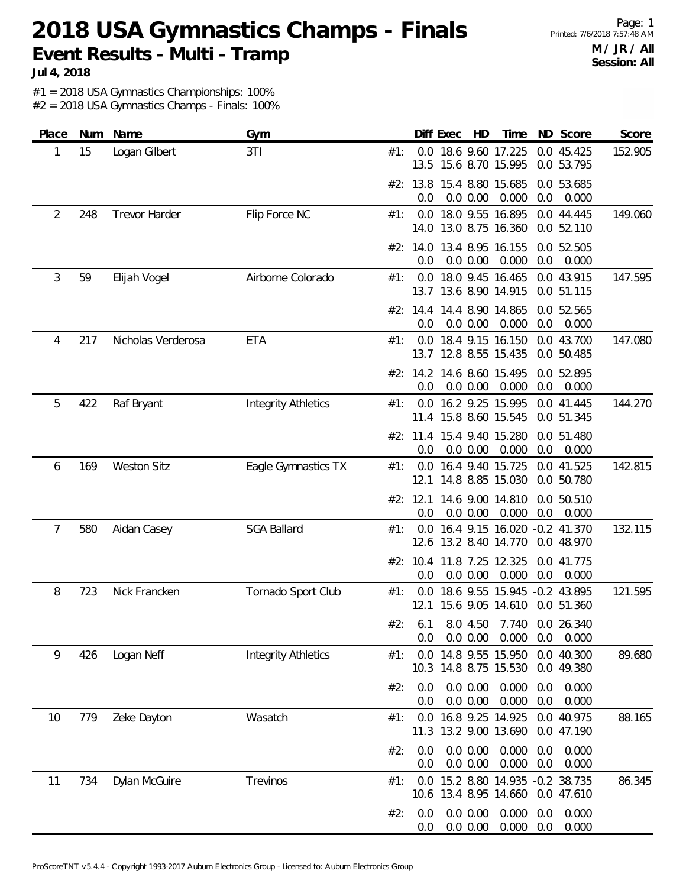**Jul 4, 2018**

#1 = 2018 USA Gymnastics Championships: 100%

| Place |     | Num Name           | Gym                        |     |                 | Diff Exec            | HD | Time                                                             |            | ND Score                 | Score   |
|-------|-----|--------------------|----------------------------|-----|-----------------|----------------------|----|------------------------------------------------------------------|------------|--------------------------|---------|
| 1     | 15  | Logan Gilbert      | 3TI                        | #1: | 13.5            |                      |    | 0.0 18.6 9.60 17.225<br>15.6 8.70 15.995                         |            | 0.0 45.425<br>0.0 53.795 | 152.905 |
|       |     |                    |                            |     | 0.0             | 0.0 0.00             |    | #2: 13.8 15.4 8.80 15.685<br>0.000                               | 0.0        | 0.0 53.685<br>0.000      |         |
| 2     | 248 | Trevor Harder      | Flip Force NC              | #1: |                 |                      |    | 0.0 18.0 9.55 16.895<br>14.0 13.0 8.75 16.360                    |            | 0.0 44.445<br>0.0 52.110 | 149.060 |
|       |     |                    |                            |     | #2: 14.0<br>0.0 | 0.0 0.00             |    | 13.4 8.95 16.155<br>0.000                                        | 0.0        | 0.0 52.505<br>0.000      |         |
| 3     | 59  | Elijah Vogel       | Airborne Colorado          | #1: | 0.0             |                      |    | 18.0 9.45 16.465<br>13.7 13.6 8.90 14.915                        |            | 0.0 43.915<br>0.0 51.115 | 147.595 |
|       |     |                    |                            |     | 0.0             | 0.0 0.00             |    | #2: 14.4 14.4 8.90 14.865<br>0.000                               | 0.0        | 0.0 52.565<br>0.000      |         |
| 4     | 217 | Nicholas Verderosa | <b>ETA</b>                 | #1: |                 |                      |    | 0.0 18.4 9.15 16.150<br>13.7 12.8 8.55 15.435                    |            | 0.0 43.700<br>0.0 50.485 | 147.080 |
|       |     |                    |                            |     | 0.0             | 0.0 0.00             |    | #2: 14.2 14.6 8.60 15.495<br>0.000                               | 0.0        | 0.0 52.895<br>0.000      |         |
| 5     | 422 | Raf Bryant         | <b>Integrity Athletics</b> | #1: |                 |                      |    | 0.0 16.2 9.25 15.995<br>11.4 15.8 8.60 15.545                    |            | 0.0 41.445<br>0.0 51.345 | 144.270 |
|       |     |                    |                            |     | #2: 11.4<br>0.0 | 0.0 0.00             |    | 15.4 9.40 15.280<br>0.000                                        | 0.0        | 0.0 51.480<br>0.000      |         |
| 6     | 169 | <b>Weston Sitz</b> | Eagle Gymnastics TX        | #1: | 0.0<br>12.1     |                      |    | 16.4 9.40 15.725<br>14.8 8.85 15.030                             |            | 0.0 41.525<br>0.0 50.780 | 142.815 |
|       |     |                    |                            |     | #2: 12.1<br>0.0 | 0.0 0.00             |    | 14.6 9.00 14.810<br>0.000                                        | 0.0        | 0.0 50.510<br>0.000      |         |
| 7     | 580 | Aidan Casey        | <b>SGA Ballard</b>         | #1: |                 |                      |    | 0.0 16.4 9.15 16.020 -0.2 41.370<br>12.6 13.2 8.40 14.770        |            | 0.0 48.970               | 132.115 |
|       |     |                    |                            |     | 0.0             | 0.0 0.00             |    | #2: 10.4 11.8 7.25 12.325<br>0.000                               | 0.0        | 0.0 41.775<br>0.000      |         |
| 8     | 723 | Nick Francken      | Tornado Sport Club         | #1: | 0.0<br>12.1     |                      |    | 18.6 9.55 15.945 -0.2 43.895<br>15.6 9.05 14.610 0.0 51.360      |            |                          | 121.595 |
|       |     |                    |                            | #2: | 0.0             | 0.0 0.00             |    | 6.1 8.0 4.50 7.740 0.0 26.340<br>0.000                           | 0.0        | 0.000                    |         |
| 9     | 426 | Logan Neff         | <b>Integrity Athletics</b> | #1: | 0.0<br>10.3     |                      |    | 14.8 9.55 15.950<br>14.8 8.75 15.530                             |            | 0.0 40.300<br>0.0 49.380 | 89.680  |
|       |     |                    |                            | #2: | 0.0<br>0.0      | 0.0 0.00<br>0.0 0.00 |    | 0.000<br>0.000                                                   | 0.0<br>0.0 | 0.000<br>0.000           |         |
| 10    | 779 | Zeke Dayton        | Wasatch                    | #1: | 0.0<br>11.3     |                      |    | 16.8 9.25 14.925<br>13.2 9.00 13.690                             |            | 0.0 40.975<br>0.0 47.190 | 88.165  |
|       |     |                    |                            | #2: | 0.0<br>0.0      | 0.0 0.00<br>0.0 0.00 |    | 0.000<br>0.000                                                   | 0.0<br>0.0 | 0.000<br>0.000           |         |
| 11    | 734 | Dylan McGuire      | Trevinos                   | #1: | 0.0             |                      |    | 15.2 8.80 14.935 -0.2 38.735<br>10.6 13.4 8.95 14.660 0.0 47.610 |            |                          | 86.345  |
|       |     |                    |                            | #2: | 0.0<br>0.0      | 0.0 0.00<br>0.0 0.00 |    | 0.000<br>0.000                                                   | 0.0<br>0.0 | 0.000<br>0.000           |         |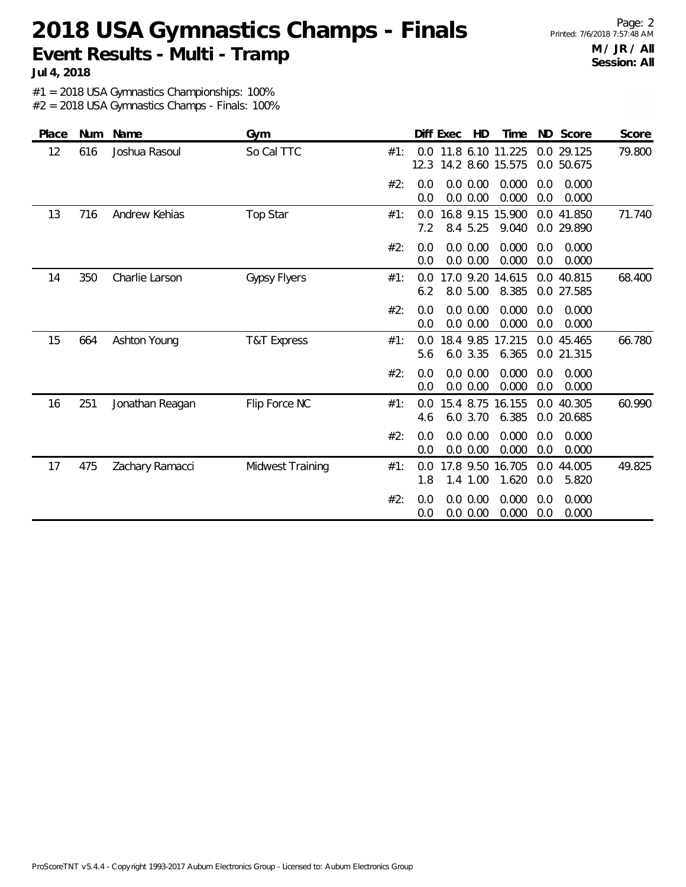**Jul 4, 2018**

#1 = 2018 USA Gymnastics Championships: 100%

| Place | <b>Num</b> | Name            | Gym                 |     | Diff Exec  | HD                                       | Time            | ND Score                 |                  | <b>Score</b> |
|-------|------------|-----------------|---------------------|-----|------------|------------------------------------------|-----------------|--------------------------|------------------|--------------|
| 12    | 616        | Joshua Rasoul   | So Cal TTC          | #1: | 12.3       | 0.0 11.8 6.10 11.225<br>14.2 8.60 15.575 |                 | 0.0 29.125<br>0.0 50.675 |                  | 79.800       |
|       |            |                 |                     | #2: | 0.0<br>0.0 | 0.0 0.00<br>0.0 0.00                     | 0.000<br>0.000  | 0.0<br>0.0               | 0.000<br>0.000   |              |
| 13    | 716        | Andrew Kehias   | Top Star            | #1: | 0.0<br>7.2 | 16.8 9.15 15.900<br>8.4 5.25             | 9.040           | 0.0 41.850<br>0.0        | 29.890           | 71.740       |
|       |            |                 |                     | #2: | 0.0<br>0.0 | 0.0 0.00<br>0.0 0.00                     | 0.000<br>0.000  | 0.0<br>0.0               | 0.000<br>0.000   |              |
| 14    | 350        | Charlie Larson  | <b>Gypsy Flyers</b> | #1: | 0.0<br>6.2 | 17.0 9.20 14.615<br>8.0 5.00             | 8.385           | 0.0 40.815<br>0.0 27.585 |                  | 68.400       |
|       |            |                 |                     | #2: | 0.0<br>0.0 | 0.0 0.00<br>0.0 0.00                     | 0.000<br>0.000  | 0.0<br>0.0               | 0.000<br>0.000   |              |
| 15    | 664        | Ashton Young    | T&T Express         | #1: | 0.0<br>5.6 | 18.4 9.85<br>6.0 3.35                    | 17.215<br>6.365 | 0.0<br>0.0 21.315        | 45.465           | 66.780       |
|       |            |                 |                     | #2: | 0.0<br>0.0 | 0.0 0.00<br>0.0 0.00                     | 0.000<br>0.000  | 0.0<br>0.0               | 0.000<br>0.000   |              |
| 16    | 251        | Jonathan Reagan | Flip Force NC       | #1: | 0.0<br>4.6 | 15.4 8.75 16.155<br>6.0 3.70             | 6.385           | 0.0<br>0.0               | 40.305<br>20.685 | 60.990       |
|       |            |                 |                     | #2: | 0.0<br>0.0 | 0.0 0.00<br>0.0 0.00                     | 0.000<br>0.000  | 0.0<br>0.0               | 0.000<br>0.000   |              |
| 17    | 475        | Zachary Ramacci | Midwest Training    | #1: | 0.0<br>1.8 | 17.8 9.50 16.705<br>1.4 1.00             | 1.620           | 0.0<br>0.0               | 44.005<br>5.820  | 49.825       |
|       |            |                 |                     | #2: | 0.0<br>0.0 | 0.0 0.00<br>0.0 0.00                     | 0.000<br>0.000  | 0.0<br>0.0               | 0.000<br>0.000   |              |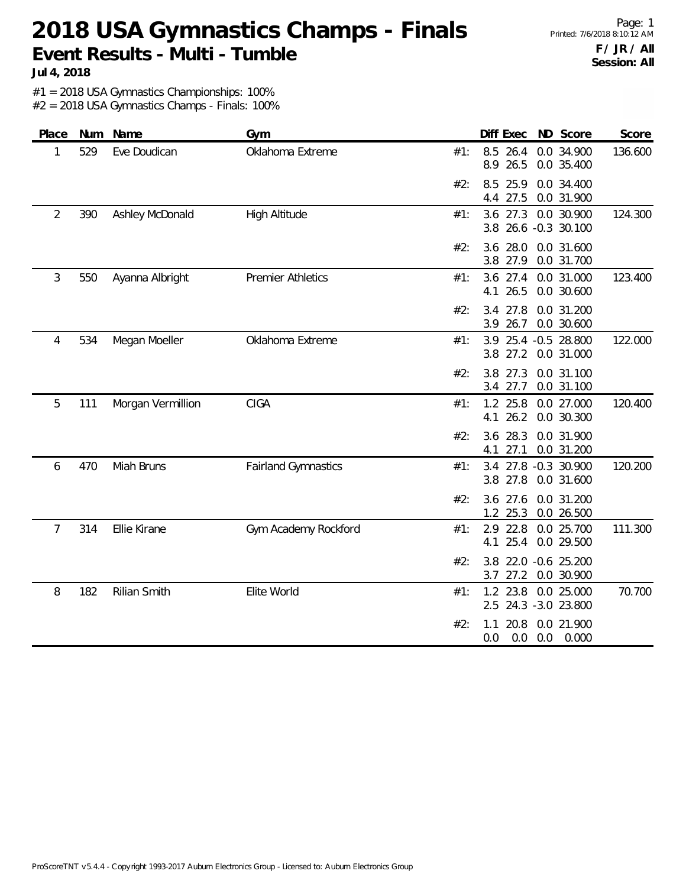Page: 1 Printed: 7/6/2018 8:10:12 AM **F / JR / All Session: All**

**Jul 4, 2018**

#1 = 2018 USA Gymnastics Championships: 100%

| Place          | Num | Name                | Gym                        |     | Diff Exec<br>ND Score                                   | Score   |
|----------------|-----|---------------------|----------------------------|-----|---------------------------------------------------------|---------|
| 1              | 529 | Eve Doudican        | Oklahoma Extreme           | #1: | 8.5 26.4<br>0.0 34.900<br>26.5<br>8.9<br>0.0 35.400     | 136.600 |
|                |     |                     |                            | #2: | 8.5<br>25.9<br>0.0 34.400<br>27.5<br>4.4<br>0.0 31.900  |         |
| $\overline{2}$ | 390 | Ashley McDonald     | <b>High Altitude</b>       | #1: | $3.6$ 27.3<br>0.0 30.900<br>26.6 -0.3 30.100<br>3.8     | 124.300 |
|                |     |                     |                            | #2: | 3.6<br>28.0<br>0.0 31.600<br>3.8 27.9<br>0.0 31.700     |         |
| 3              | 550 | Ayanna Albright     | <b>Premier Athletics</b>   | #1: | 3.6 27.4<br>0.0 31.000<br>26.5<br>4.1<br>0.0 30.600     | 123.400 |
|                |     |                     |                            | #2: | 3.4<br>27.8<br>0.0 31.200<br>26.7<br>0.0 30.600<br>3.9  |         |
| 4              | 534 | Megan Moeller       | Oklahoma Extreme           | #1: | 3.9<br>25.4 -0.5 28.800<br>27.2<br>3.8<br>0.0 31.000    | 122.000 |
|                |     |                     |                            | #2: | 0.0 31.100<br>3.8<br>27.3<br>3.4 27.7<br>0.0 31.100     |         |
| 5              | 111 | Morgan Vermillion   | CIGA                       | #1: | 1.2 25.8<br>0.0 27.000<br>4.1<br>26.2<br>0.0 30.300     | 120.400 |
|                |     |                     |                            | #2: | 3.6 28.3<br>0.0 31.900<br>27.1<br>0.0 31.200<br>4.1     |         |
| 6              | 470 | Miah Bruns          | <b>Fairland Gymnastics</b> | #1: | 27.8 -0.3 30.900<br>3.4<br>3.8 27.8<br>0.0 31.600       | 120.200 |
|                |     |                     |                            | #2: | 0.0 31.200<br>3.6 27.6<br>25.3<br>0.0 26.500<br>1.2     |         |
| $\overline{7}$ | 314 | Ellie Kirane        | Gym Academy Rockford       | #1: | 22.8<br>2.9<br>0.0 25.700<br>25.4 0.0 29.500<br>4.1     | 111.300 |
|                |     |                     |                            | #2: | 22.0 -0.6 25.200<br>3.8<br>27.2<br>3.7<br>0.0 30.900    |         |
| 8              | 182 | <b>Rilian Smith</b> | Elite World                | #1: | 1.2 23.8 0.0 25.000<br>2.5 24.3 -3.0 23.800             | 70.700  |
|                |     |                     |                            | #2: | 20.8<br>0.0 21.900<br>1.1<br>0.0<br>0.0<br>0.0<br>0.000 |         |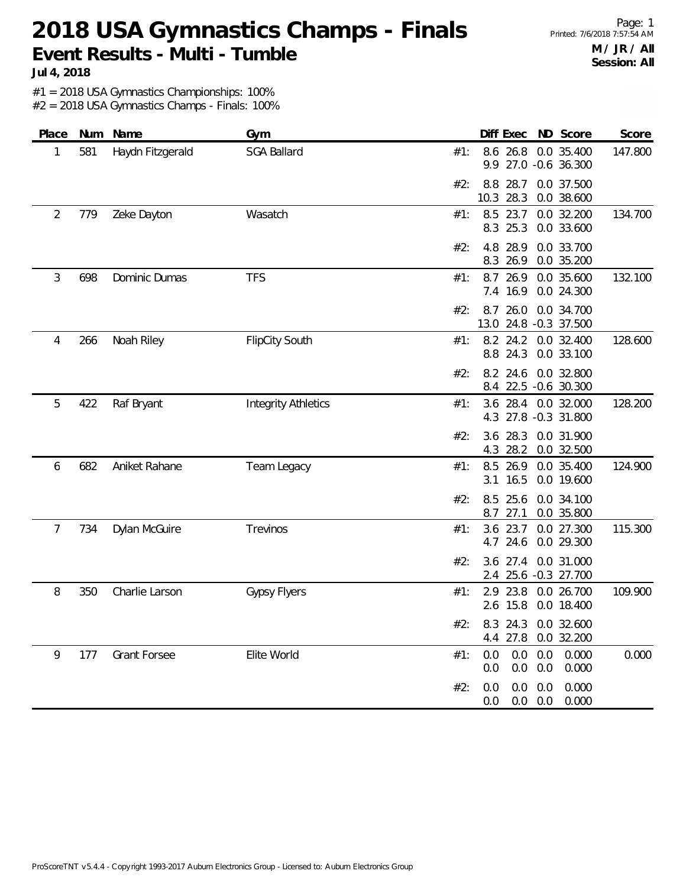Page: 1 Printed: 7/6/2018 7:57:54 AM **M / JR / All Session: All**

**Jul 4, 2018**

#1 = 2018 USA Gymnastics Championships: 100% #2 = 2018 USA Gymnastics Champs - Finals: 100%

| Place          | Num | Name                | Gym                        | Diff Exec<br>ND Score<br>Score                                                   |
|----------------|-----|---------------------|----------------------------|----------------------------------------------------------------------------------|
| 1              | 581 | Haydn Fitzgerald    | <b>SGA Ballard</b>         | 8.6 26.8<br>0.0 35.400<br>147.800<br>#1:<br>9.9 27.0 -0.6 36.300                 |
|                |     |                     |                            | 8.8 28.7<br>0.0 37.500<br>#2:<br>28.3<br>10.3<br>0.0 38.600                      |
| 2              | 779 | Zeke Dayton         | Wasatch                    | 23.7<br>8.5<br>0.0 32.200<br>134.700<br>#1:<br>8.3 25.3<br>0.0 33.600            |
|                |     |                     |                            | 4.8<br>28.9<br>0.0 33.700<br>#2:<br>8.3 26.9<br>0.0 35.200                       |
| 3              | 698 | Dominic Dumas       | <b>TFS</b>                 | 8.7 26.9<br>0.0 35.600<br>132.100<br>#1:<br>7.4 16.9<br>0.0 24.300               |
|                |     |                     |                            | 26.0<br>0.0 34.700<br>#2:<br>8.7<br>13.0 24.8 -0.3 37.500                        |
| 4              | 266 | Noah Riley          | <b>FlipCity South</b>      | 8.2 24.2<br>128.600<br>0.0 32.400<br>#1:<br>8.8 24.3<br>0.0 33.100               |
|                |     |                     |                            | 0.0 32.800<br>8.2 24.6<br>#2:<br>8.4 22.5 -0.6 30.300                            |
| 5              | 422 | Raf Bryant          | <b>Integrity Athletics</b> | 128.200<br>3.6 28.4 0.0 32.000<br>#1:<br>4.3 27.8 -0.3 31.800                    |
|                |     |                     |                            | $3.6$ 28.3<br>0.0 31.900<br>#2:<br>28.2<br>0.0 32.500<br>4.3                     |
| 6              | 682 | Aniket Rahane       | Team Legacy                | 124.900<br>8.5<br>26.9<br>0.0 35.400<br>#1:<br>16.5<br>0.0 19.600<br>3.1         |
|                |     |                     |                            | 8.5 25.6<br>0.0 34.100<br>#2:<br>0.0 35.800<br>8.7<br>27.1                       |
| $\overline{7}$ | 734 | Dylan McGuire       | Trevinos                   | 3.6 23.7<br>0.0 27.300<br>115.300<br>#1:<br>4.7 24.6<br>0.0 29.300               |
|                |     |                     |                            | $3.6$ 27.4<br>0.0 31.000<br>#2:<br>2.4 25.6 -0.3 27.700                          |
| 8              | 350 | Charlie Larson      | <b>Gypsy Flyers</b>        | 23.8<br>2.9<br>0.0 26.700<br>109.900<br>#1:<br>2.6 15.8<br>0.0 18.400            |
|                |     |                     |                            | #2: 8.3 24.3 0.0 32.600<br>4.4 27.8 0.0 32.200                                   |
| 9              | 177 | <b>Grant Forsee</b> | Elite World                | 0.0<br>$0.0\quad 0.0$<br>0.000<br>0.000<br>#1:<br>$0.0\quad 0.0$<br>0.0<br>0.000 |
|                |     |                     |                            | $0.0\quad 0.0$<br>0.000<br>#2:<br>0.0<br>$0.0\ 0.0$<br>0.000<br>0.0              |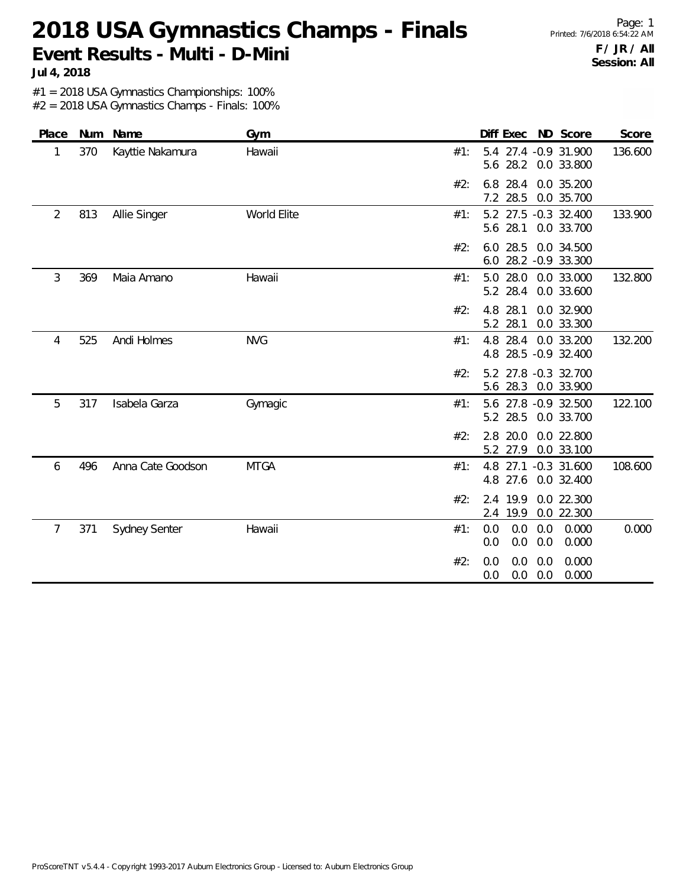Page: 1 Printed: 7/6/2018 6:54:22 AM **F / JR / All Session: All**

**Jul 4, 2018**

#1 = 2018 USA Gymnastics Championships: 100%

| Place          | Num | Name                 | Gym         |     | Diff Exec<br>ND Score                                    | Score   |
|----------------|-----|----------------------|-------------|-----|----------------------------------------------------------|---------|
| 1              | 370 | Kayttie Nakamura     | Hawaii      | #1: | 5.4 27.4 -0.9 31.900<br>5.6 28.2<br>0.0 33.800           | 136.600 |
|                |     |                      |             | #2: | 6.8 28.4<br>0.0 35.200<br>7.2 28.5<br>0.0 35.700         |         |
| $\overline{2}$ | 813 | Allie Singer         | World Elite | #1: | 5.2 27.5 -0.3 32.400<br>5.6 28.1<br>0.0 33.700           | 133.900 |
|                |     |                      |             | #2: | 6.0 28.5<br>0.0 34.500<br>6.0 28.2 -0.9 33.300           |         |
| 3              | 369 | Maia Amano           | Hawaii      | #1: | 5.0 28.0<br>0.0 33.000<br>5.2 28.4<br>0.0 33.600         | 132.800 |
|                |     |                      |             | #2: | 4.8<br>28.1<br>0.0 32.900<br>5.2 28.1<br>0.0 33.300      |         |
| 4              | 525 | Andi Holmes          | <b>NVG</b>  | #1: | 4.8 28.4<br>0.0 33.200<br>4.8 28.5 -0.9 32.400           | 132.200 |
|                |     |                      |             | #2: | 5.2 27.8 -0.3 32.700<br>5.6 28.3 0.0 33.900              |         |
| 5              | 317 | Isabela Garza        | Gymagic     | #1: | 5.6 27.8 -0.9 32.500<br>5.2 28.5<br>0.0 33.700           | 122.100 |
|                |     |                      |             | #2: | 2.8 20.0<br>0.0 22.800<br>5.2 27.9<br>0.0 33.100         |         |
| 6              | 496 | Anna Cate Goodson    | <b>MTGA</b> | #1: | 4.8 27.1 -0.3 31.600<br>27.6<br>0.0 32.400<br>4.8        | 108.600 |
|                |     |                      |             | #2: | 19.9<br>0.0 22.300<br>2.4<br>19.9<br>0.0 22.300<br>2.4   |         |
| 7              | 371 | <b>Sydney Senter</b> | Hawaii      | #1: | 0.0<br>0.0<br>0.0<br>0.000<br>0.0<br>0.0<br>0.0<br>0.000 | 0.000   |
|                |     |                      |             | #2: | 0.0<br>0.0<br>0.000<br>0.0<br>0.0<br>0.0<br>0.000<br>0.0 |         |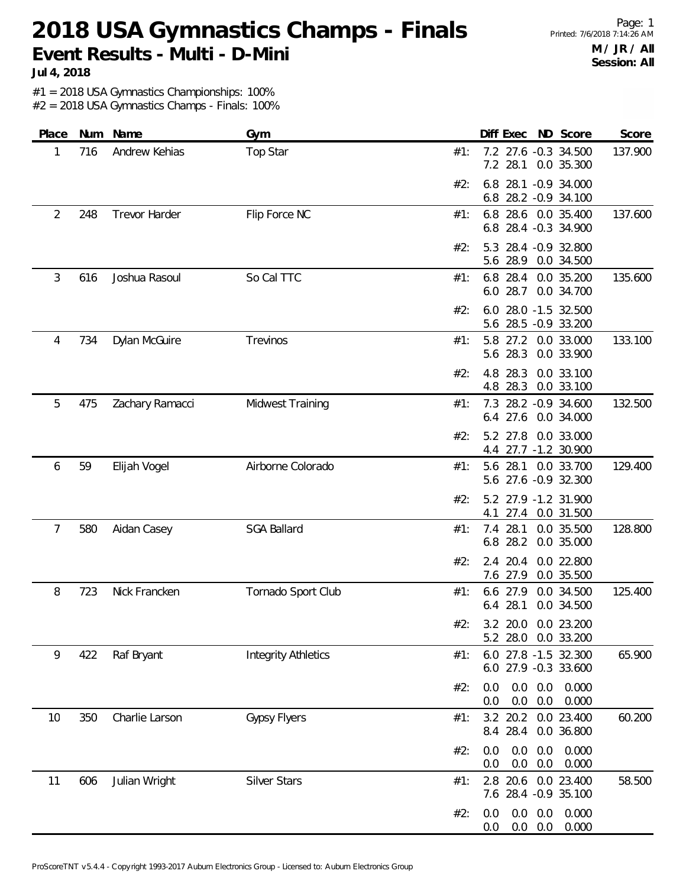Page: 1 Printed: 7/6/2018 7:14:26 AM **M / JR / All Session: All**

**Jul 4, 2018**

#1 = 2018 USA Gymnastics Championships: 100%

| Place          | Num | Name            | Gym                        | Diff Exec ND Score<br>Score                                          |
|----------------|-----|-----------------|----------------------------|----------------------------------------------------------------------|
| 1              | 716 | Andrew Kehias   | Top Star                   | 7.2 27.6 -0.3 34.500<br>137.900<br>#1:<br>7.2 28.1<br>0.0 35.300     |
|                |     |                 |                            | 6.8 28.1 -0.9 34.000<br>#2:<br>6.8 28.2 -0.9 34.100                  |
| $\overline{2}$ | 248 | Trevor Harder   | Flip Force NC              | 6.8 28.6 0.0 35.400<br>137.600<br>#1:<br>6.8 28.4 -0.3 34.900        |
|                |     |                 |                            | 5.3 28.4 -0.9 32.800<br>#2:<br>5.6 28.9 0.0 34.500                   |
| 3              | 616 | Joshua Rasoul   | So Cal TTC                 | 135.600<br>6.8 28.4 0.0 35.200<br>#1:<br>6.0 28.7<br>0.0 34.700      |
|                |     |                 |                            | 28.0 -1.5 32.500<br>#2:<br>6.0<br>5.6 28.5 -0.9 33.200               |
| 4              | 734 | Dylan McGuire   | Trevinos                   | 133.100<br>5.8 27.2<br>0.0 33.000<br>#1:<br>5.6 28.3<br>0.0 33.900   |
|                |     |                 |                            | 4.8 28.3<br>0.0 33.100<br>#2:<br>28.3<br>0.0 33.100<br>4.8           |
| 5              | 475 | Zachary Ramacci | Midwest Training           | 28.2 - 0.9 34.600<br>132.500<br>#1:<br>7.3<br>6.4 27.6<br>0.0 34.000 |
|                |     |                 |                            | 5.2 27.8<br>0.0 33.000<br>#2:<br>4.4 27.7 -1.2 30.900                |
| 6              | 59  | Elijah Vogel    | Airborne Colorado          | 129.400<br>5.6 28.1 0.0 33.700<br>#1:<br>5.6 27.6 -0.9 32.300        |
|                |     |                 |                            | 5.2 27.9 -1.2 31.900<br>#2:<br>27.4<br>4.1<br>0.0 31.500             |
| 7              | 580 | Aidan Casey     | <b>SGA Ballard</b>         | 128.800<br>7.4 28.1<br>0.0 35.500<br>#1:<br>6.8 28.2<br>0.0 35.000   |
|                |     |                 |                            | 2.4 20.4<br>0.0 22.800<br>#2:<br>7.6 27.9<br>0.0 35.500              |
| 8              | 723 | Nick Francken   | Tornado Sport Club         | 6.6 27.9<br>0.0 34.500<br>125.400<br>#1:<br>6.4 28.1<br>0.0 34.500   |
|                |     |                 |                            | 3.2 20.0 0.0 23.200<br>#2:<br>5.2 28.0 0.0 33.200                    |
| 9              | 422 | Raf Bryant      | <b>Integrity Athletics</b> | 6.0 27.8 -1.5 32.300<br>65.900<br>#1:<br>6.0 27.9 -0.3 33.600        |
|                |     |                 |                            | 0.0<br>0.0<br>0.0<br>0.000<br>#2:<br>0.0<br>0.0<br>0.000<br>0.0      |
| 10             | 350 | Charlie Larson  | <b>Gypsy Flyers</b>        | 3.2 20.2 0.0 23.400<br>60.200<br>#1:<br>8.4 28.4<br>0.0 36.800       |
|                |     |                 |                            | 0.0<br>0.0<br>0.000<br>#2:<br>0.0<br>0.0<br>0.0<br>0.000<br>0.0      |
| 11             | 606 | Julian Wright   | <b>Silver Stars</b>        | 2.8 20.6 0.0 23.400<br>58.500<br>#1:<br>7.6 28.4 -0.9 35.100         |
|                |     |                 |                            | 0.0<br>0.0<br>0.0<br>0.000<br>#2:<br>0.0<br>0.0<br>0.000<br>0.0      |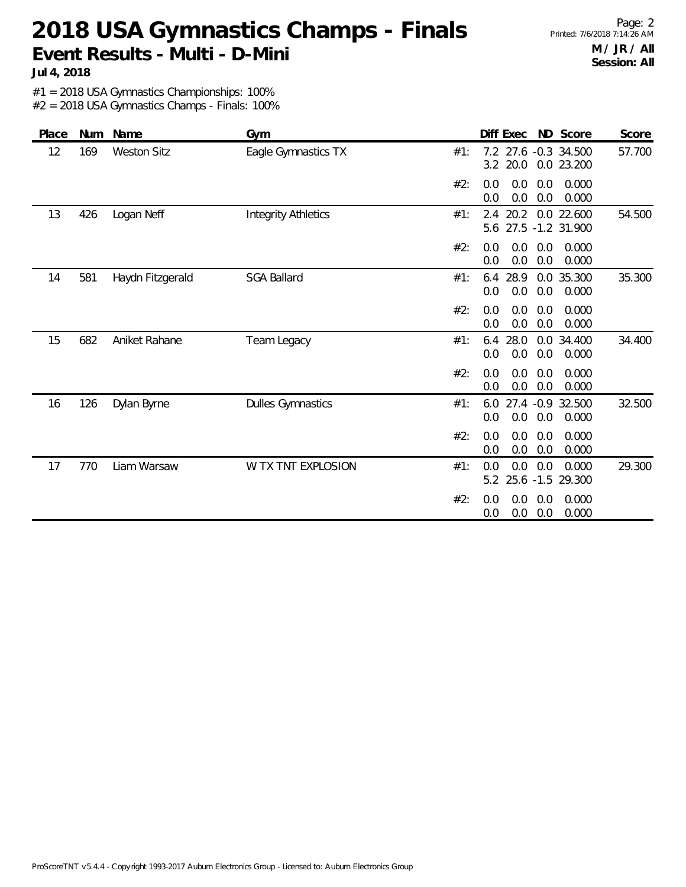**Jul 4, 2018**

#1 = 2018 USA Gymnastics Championships: 100%

| Place | Num | Name               | Gym                        | Diff Exec<br>ND Score<br>Score                                               |
|-------|-----|--------------------|----------------------------|------------------------------------------------------------------------------|
| 12    | 169 | <b>Weston Sitz</b> | Eagle Gymnastics TX        | 7.2 27.6 -0.3 34.500<br>57.700<br>#1:<br>3.2 20.0<br>0.0 23.200              |
|       |     |                    |                            | 0.0<br>0.0<br>0.0<br>0.000<br>#2:<br>0.0<br>0.0<br>0.0<br>0.000              |
| 13    | 426 | Logan Neff         | <b>Integrity Athletics</b> | 54.500<br>20.2<br>0.0 22.600<br>#1:<br>2.4<br>27.5 -1.2 31.900<br>5.6        |
|       |     |                    |                            | #2:<br>0.0<br>0.0<br>0.0<br>0.000<br>0.0<br>0.0<br>0.0<br>0.000              |
| 14    | 581 | Haydn Fitzgerald   | <b>SGA Ballard</b>         | 28.9<br>0.0 35.300<br>35.300<br>#1:<br>6.4<br>0.0<br>0.0<br>0.0<br>0.000     |
|       |     |                    |                            | 0.0<br>0.0<br>0.0<br>0.000<br>#2:<br>0.0<br>$0.0\,$<br>0.000<br>0.0          |
| 15    | 682 | Aniket Rahane      | Team Legacy                | 28.0<br>0.0 34.400<br>34.400<br>#1:<br>6.4<br>0.0<br>0.0<br>0.0<br>0.000     |
|       |     |                    |                            | 0.0<br>0.0<br>0.0<br>0.000<br>#2:<br>0.0<br>0.0<br>0.0<br>0.000              |
| 16    | 126 | Dylan Byrne        | <b>Dulles Gymnastics</b>   | 27.4 -0.9 32.500<br>32.500<br>6.0<br>#1:<br>0.0<br>0.0<br>0.0<br>0.000       |
|       |     |                    |                            | 0.0<br>#2:<br>0.0<br>0.0<br>0.000<br>$0.0\,$<br>$0.0\,$<br>0.000<br>0.0      |
| 17    | 770 | Liam Warsaw        | W TX TNT EXPLOSION         | 29.300<br>0.0<br>0.0<br>0.0<br>0.000<br>#1:<br>$25.6 - 1.5$<br>5.2<br>29.300 |
|       |     |                    |                            | 0.0<br>0.0<br>0.000<br>#2:<br>0.0<br>0.0<br>0.0<br>0.000<br>0.0              |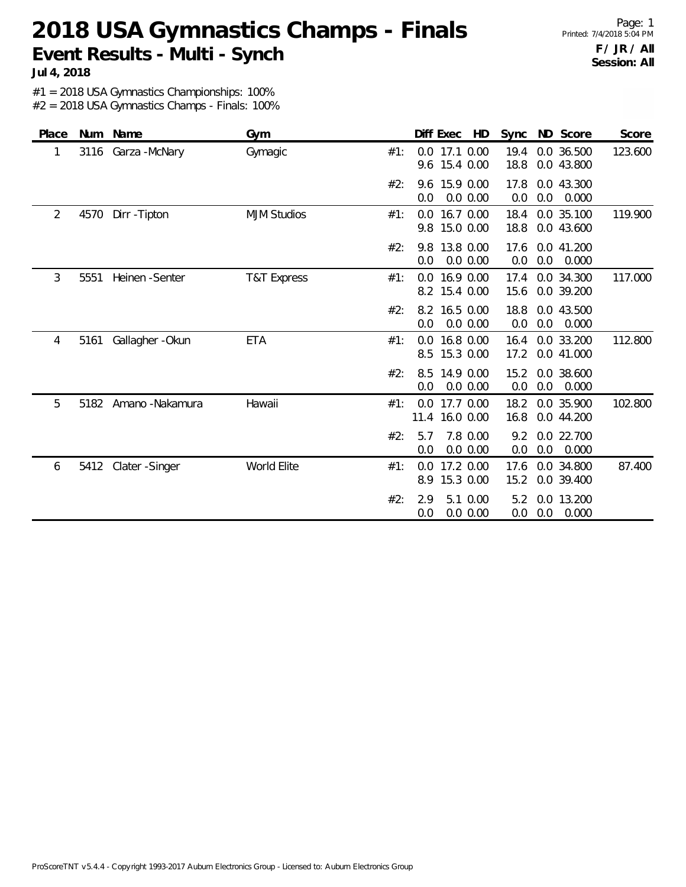Page: 1 Printed: 7/4/2018 5:04 PM **F / JR / All Session: All**

**Jul 4, 2018**

#1 = 2018 USA Gymnastics Championships: 100%

| Place          |      | Num Name             | Gym                    |     |             | Diff Exec     | HD                     |              |     | Sync ND Score            | Score   |
|----------------|------|----------------------|------------------------|-----|-------------|---------------|------------------------|--------------|-----|--------------------------|---------|
| 1              | 3116 | Garza - McNary       | Gymagic                | #1: | 9.6         | 0.0 17.1 0.00 | 15.4 0.00              | 19.4<br>18.8 |     | 0.0 36.500<br>0.0 43.800 | 123.600 |
|                |      |                      |                        | #2: | 0.0         | 9.6 15.9 0.00 | 0.0 0.00               | 17.8<br>0.0  | 0.0 | 0.0 43.300<br>0.000      |         |
| $\overline{2}$ | 4570 | Dirr - Tipton        | <b>MJM Studios</b>     | #1: | 0.0<br>9.8  |               | 16.7 0.00<br>15.0 0.00 | 18.4<br>18.8 |     | 0.0 35.100<br>0.0 43.600 | 119.900 |
|                |      |                      |                        | #2: | 9.8<br>0.0  |               | 13.8 0.00<br>0.0 0.00  | 17.6<br>0.0  | 0.0 | 0.0 41.200<br>0.000      |         |
| 3              | 5551 | Heinen - Senter      | <b>T&amp;T Express</b> | #1: | 0.0         | 8.2 15.4 0.00 | 16.9 0.00              | 17.4<br>15.6 |     | 0.0 34.300<br>0.0 39.200 | 117.000 |
|                |      |                      |                        | #2: | 8.2<br>0.0  |               | 16.5 0.00<br>0.0 0.00  | 18.8<br>0.0  | 0.0 | 0.0 43.500<br>0.000      |         |
| 4              | 5161 | Gallagher - Okun     | <b>ETA</b>             | #1: | 0.0<br>8.5  |               | 16.8 0.00<br>15.3 0.00 | 16.4<br>17.2 |     | 0.0 33.200<br>0.0 41.000 | 112.800 |
|                |      |                      |                        | #2: | 8.5<br>0.0  |               | 14.9 0.00<br>0.0 0.00  | 15.2<br>0.0  | 0.0 | 0.0 38.600<br>0.000      |         |
| 5              | 5182 | Amano - Nakamura     | Hawaii                 | #1: | 0.0<br>11.4 |               | 17.7 0.00<br>16.0 0.00 | 18.2<br>16.8 |     | 0.0 35.900<br>0.0 44.200 | 102.800 |
|                |      |                      |                        | #2: | 5.7<br>0.0  |               | 7.8 0.00<br>0.0 0.00   | 9.2<br>0.0   | 0.0 | 0.0 22.700<br>0.000      |         |
| 6              |      | 5412 Clater - Singer | World Elite            | #1: | 0.0<br>8.9  |               | 17.2 0.00<br>15.3 0.00 | 17.6<br>15.2 |     | 0.0 34.800<br>0.0 39.400 | 87.400  |
|                |      |                      |                        | #2: | 2.9<br>0.0  |               | 5.1 0.00<br>0.0 0.00   | 5.2<br>0.0   | 0.0 | 0.0 13.200<br>0.000      |         |